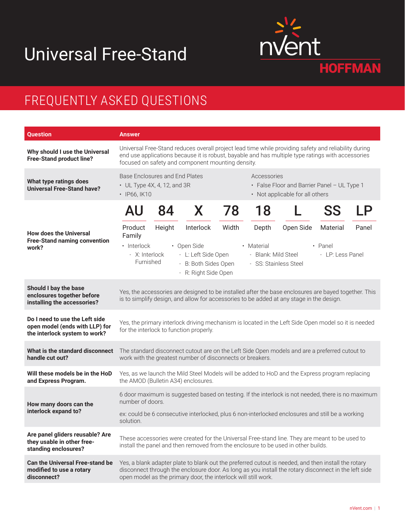## Universal Free-Stand



## FREQUENTLY ASKED QUESTIONS

| Question                                                                                          | <b>Answer</b>                                                                                                                                                                                                                                                                 |
|---------------------------------------------------------------------------------------------------|-------------------------------------------------------------------------------------------------------------------------------------------------------------------------------------------------------------------------------------------------------------------------------|
| Why should I use the Universal<br><b>Free-Stand product line?</b>                                 | Universal Free-Stand reduces overall project lead time while providing safety and reliability during<br>end use applications because it is robust, bayable and has multiple type ratings with accessories<br>focused on safety and component mounting density.                |
| What type ratings does<br><b>Universal Free-Stand have?</b>                                       | Base Enclosures and End Plates<br>Accessories<br>• UL Type 4X, 4, 12, and 3R<br>• False Floor and Barrier Panel - UL Type 1<br>· IP66, IK10<br>• Not applicable for all others                                                                                                |
| <b>How does the Universal</b><br><b>Free-Stand naming convention</b><br>work?                     | 18<br>SS<br>84<br>78<br>AU<br>X<br>LP                                                                                                                                                                                                                                         |
|                                                                                                   | Height<br>Interlock<br>Width<br>Depth<br>Open Side<br>Panel<br>Product<br>Material<br>Family                                                                                                                                                                                  |
|                                                                                                   | · Interlock<br>• Open Side<br>• Material<br>$\cdot$ Panel<br>- L: Left Side Open<br>- Blank: Mild Steel<br>- X: Interlock<br>- LP: Less Panel<br>Furnished<br>- B: Both Sides Open<br>- SS: Stainless Steel<br>- R: Right Side Open                                           |
| Should I bay the base<br>enclosures together before<br>installing the accessories?                | Yes, the accessories are designed to be installed after the base enclosures are bayed together. This<br>is to simplify design, and allow for accessories to be added at any stage in the design.                                                                              |
| Do I need to use the Left side<br>open model (ends with LLP) for<br>the interlock system to work? | Yes, the primary interlock driving mechanism is located in the Left Side Open model so it is needed<br>for the interlock to function properly.                                                                                                                                |
| What is the standard disconnect<br>handle cut out?                                                | The standard disconnect cutout are on the Left Side Open models and are a preferred cutout to<br>work with the greatest number of disconnects or breakers.                                                                                                                    |
| Will these models be in the HoD<br>and Express Program.                                           | Yes, as we launch the Mild Steel Models will be added to HoD and the Express program replacing<br>the AMOD (Bulletin A34) enclosures.                                                                                                                                         |
| How many doors can the<br>interlock expand to?                                                    | 6 door maximum is suggested based on testing. If the interlock is not needed, there is no maximum<br>number of doors.                                                                                                                                                         |
|                                                                                                   | ex: could be 6 consecutive interlocked, plus 6 non-interlocked enclosures and still be a working<br>solution.                                                                                                                                                                 |
| Are panel gliders reusable? Are<br>they usable in other free-<br>standing enclosures?             | These accessories were created for the Universal Free-stand line. They are meant to be used to<br>install the panel and then removed from the enclosure to be used in other builds.                                                                                           |
| <b>Can the Universal Free-stand be</b><br>modified to use a rotary<br>disconnect?                 | Yes, a blank adapter plate to blank out the preferred cutout is needed, and then install the rotary<br>disconnect through the enclosure door. As long as you install the rotary disconnect in the left side<br>open model as the primary door, the interlock will still work. |